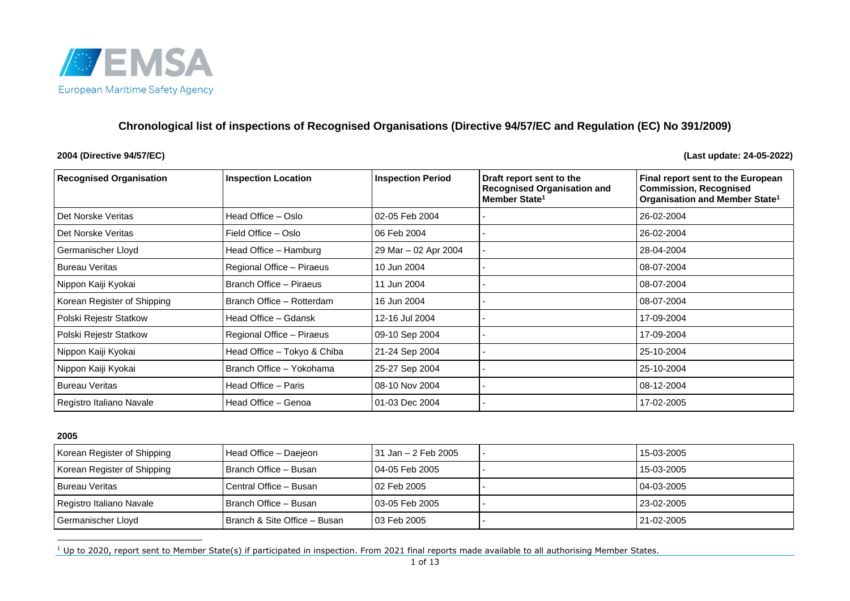

# **Chronological list of inspections of Recognised Organisations (Directive 94/57/EC and Regulation (EC) No 391/2009)**

#### **2004 (Directive 94/57/EC) (Last update: 24-05-2022)**

<span id="page-0-0"></span>

| <b>Recognised Organisation</b> | <b>Inspection Location</b>  | <b>Inspection Period</b> | Draft report sent to the<br><b>Recognised Organisation and</b><br>Member State <sup>1</sup> | Final report sent to the European<br><b>Commission, Recognised</b><br>Organisation and Member State <sup>1</sup> |
|--------------------------------|-----------------------------|--------------------------|---------------------------------------------------------------------------------------------|------------------------------------------------------------------------------------------------------------------|
| Det Norske Veritas             | Head Office - Oslo          | 02-05 Feb 2004           |                                                                                             | 26-02-2004                                                                                                       |
| Det Norske Veritas             | Field Office - Oslo         | 06 Feb 2004              |                                                                                             | 26-02-2004                                                                                                       |
| Germanischer Lloyd             | Head Office - Hamburg       | 29 Mar - 02 Apr 2004     |                                                                                             | 28-04-2004                                                                                                       |
| <b>Bureau Veritas</b>          | Regional Office - Piraeus   | 10 Jun 2004              |                                                                                             | 08-07-2004                                                                                                       |
| Nippon Kaiji Kyokai            | Branch Office - Piraeus     | 11 Jun 2004              |                                                                                             | 08-07-2004                                                                                                       |
| Korean Register of Shipping    | Branch Office - Rotterdam   | 16 Jun 2004              |                                                                                             | 08-07-2004                                                                                                       |
| Polski Rejestr Statkow         | Head Office - Gdansk        | 12-16 Jul 2004           |                                                                                             | 17-09-2004                                                                                                       |
| Polski Rejestr Statkow         | Regional Office - Piraeus   | 09-10 Sep 2004           |                                                                                             | 17-09-2004                                                                                                       |
| Nippon Kaiji Kyokai            | Head Office - Tokyo & Chiba | 21-24 Sep 2004           |                                                                                             | 25-10-2004                                                                                                       |
| Nippon Kaiji Kyokai            | Branch Office - Yokohama    | 25-27 Sep 2004           |                                                                                             | 25-10-2004                                                                                                       |
| <b>Bureau Veritas</b>          | Head Office - Paris         | 08-10 Nov 2004           |                                                                                             | 08-12-2004                                                                                                       |
| Registro Italiano Navale       | Head Office - Genoa         | 01-03 Dec 2004           |                                                                                             | 17-02-2005                                                                                                       |

| Korean Register of Shipping | Head Office - Daejeon        | l 31 Jan – 2 Feb 2005 | 15-03-2005        |
|-----------------------------|------------------------------|-----------------------|-------------------|
| Korean Register of Shipping | Branch Office - Busan        | l 04-05 Feb 2005      | 15-03-2005        |
| I Bureau Veritas            | Central Office - Busan       | l 02 Feb 2005         | 04-03-2005        |
| Registro Italiano Navale    | l Branch Office – Busan      | l 03-05 Feb 2005      | $123 - 02 - 2005$ |
| Germanischer Lloyd          | Branch & Site Office - Busan | 03 Feb 2005           | 21-02-2005        |

 $1$  Up to 2020, report sent to Member State(s) if participated in inspection. From 2021 final reports made available to all authorising Member States.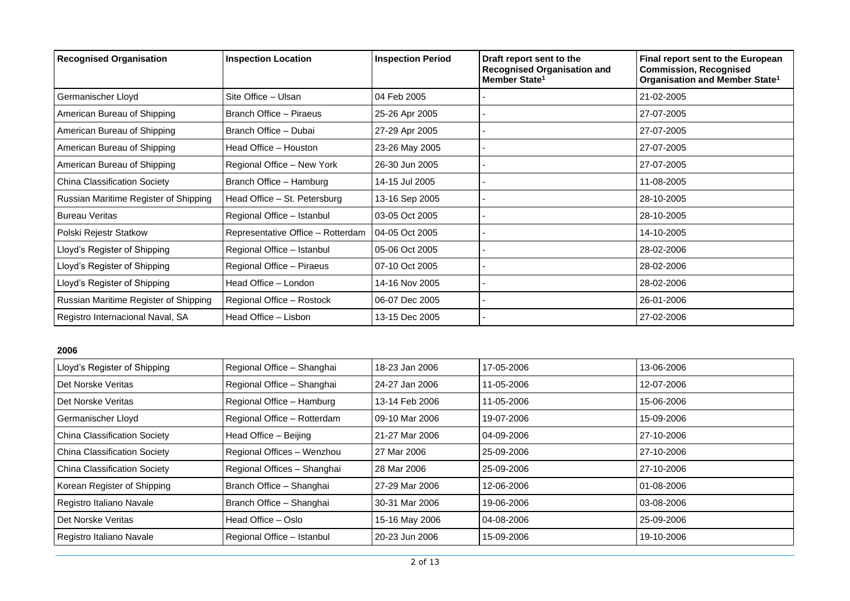| <b>Recognised Organisation</b>        | <b>Inspection Location</b>        | <b>Inspection Period</b> | Draft report sent to the<br><b>Recognised Organisation and</b><br>Member State <sup>1</sup> | Final report sent to the European<br><b>Commission, Recognised</b><br>Organisation and Member State <sup>1</sup> |
|---------------------------------------|-----------------------------------|--------------------------|---------------------------------------------------------------------------------------------|------------------------------------------------------------------------------------------------------------------|
| Germanischer Lloyd                    | Site Office - Ulsan               | 04 Feb 2005              |                                                                                             | 21-02-2005                                                                                                       |
| American Bureau of Shipping           | Branch Office - Piraeus           | 25-26 Apr 2005           |                                                                                             | 27-07-2005                                                                                                       |
| American Bureau of Shipping           | Branch Office - Dubai             | 27-29 Apr 2005           |                                                                                             | 27-07-2005                                                                                                       |
| American Bureau of Shipping           | Head Office - Houston             | 23-26 May 2005           |                                                                                             | 27-07-2005                                                                                                       |
| American Bureau of Shipping           | Regional Office - New York        | 26-30 Jun 2005           |                                                                                             | 27-07-2005                                                                                                       |
| China Classification Society          | Branch Office - Hamburg           | 14-15 Jul 2005           |                                                                                             | 11-08-2005                                                                                                       |
| Russian Maritime Register of Shipping | Head Office - St. Petersburg      | 13-16 Sep 2005           |                                                                                             | 28-10-2005                                                                                                       |
| <b>Bureau Veritas</b>                 | Regional Office - Istanbul        | 03-05 Oct 2005           |                                                                                             | 28-10-2005                                                                                                       |
| Polski Rejestr Statkow                | Representative Office - Rotterdam | 04-05 Oct 2005           |                                                                                             | 14-10-2005                                                                                                       |
| Lloyd's Register of Shipping          | Regional Office - Istanbul        | 05-06 Oct 2005           |                                                                                             | 28-02-2006                                                                                                       |
| Lloyd's Register of Shipping          | Regional Office - Piraeus         | 07-10 Oct 2005           |                                                                                             | 28-02-2006                                                                                                       |
| Lloyd's Register of Shipping          | Head Office - London              | 14-16 Nov 2005           |                                                                                             | 28-02-2006                                                                                                       |
| Russian Maritime Register of Shipping | Regional Office - Rostock         | 06-07 Dec 2005           |                                                                                             | 26-01-2006                                                                                                       |
| Registro Internacional Naval, SA      | Head Office - Lisbon              | 13-15 Dec 2005           |                                                                                             | 27-02-2006                                                                                                       |

| Lloyd's Register of Shipping        | Regional Office - Shanghai  | 18-23 Jan 2006 | 17-05-2006 | 13-06-2006         |
|-------------------------------------|-----------------------------|----------------|------------|--------------------|
| Det Norske Veritas                  | Regional Office - Shanghai  | 24-27 Jan 2006 | 11-05-2006 | 12-07-2006         |
| Det Norske Veritas                  | Regional Office - Hamburg   | 13-14 Feb 2006 | 11-05-2006 | 15-06-2006         |
| Germanischer Lloyd                  | Regional Office - Rotterdam | 09-10 Mar 2006 | 19-07-2006 | 15-09-2006         |
| <b>China Classification Society</b> | Head Office - Beijing       | 21-27 Mar 2006 | 04-09-2006 | 27-10-2006         |
| <b>China Classification Society</b> | Regional Offices - Wenzhou  | 27 Mar 2006    | 25-09-2006 | 27-10-2006         |
| <b>China Classification Society</b> | Regional Offices - Shanghai | 28 Mar 2006    | 25-09-2006 | 27-10-2006         |
| Korean Register of Shipping         | Branch Office - Shanghai    | 27-29 Mar 2006 | 12-06-2006 | $ 01 - 08 - 2006 $ |
| Registro Italiano Navale            | Branch Office - Shanghai    | 30-31 Mar 2006 | 19-06-2006 | 03-08-2006         |
| Det Norske Veritas                  | Head Office - Oslo          | 15-16 May 2006 | 04-08-2006 | 25-09-2006         |
| Registro Italiano Navale            | Regional Office - Istanbul  | 20-23 Jun 2006 | 15-09-2006 | 19-10-2006         |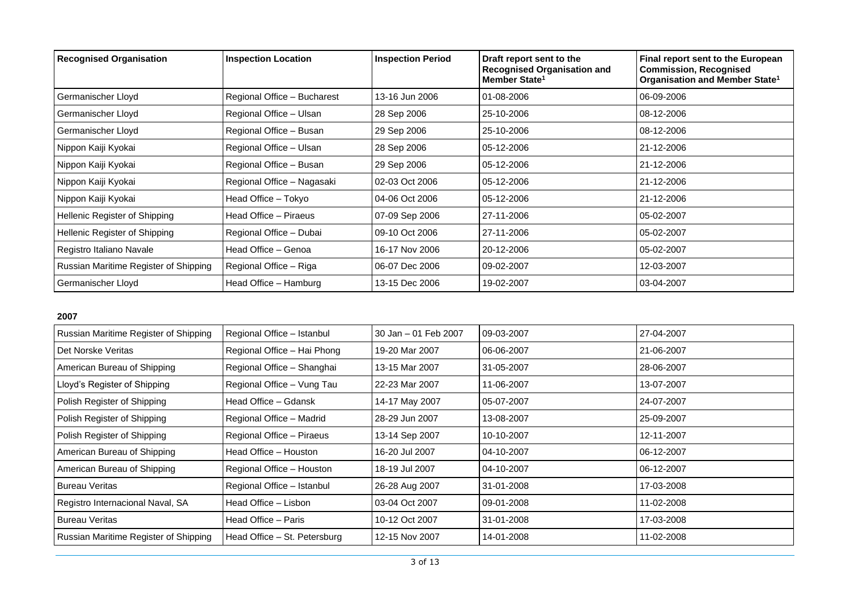| <b>Recognised Organisation</b>        | <b>Inspection Location</b>  | <b>Inspection Period</b> | Draft report sent to the<br><b>Recognised Organisation and</b><br>Member State <sup>1</sup> | Final report sent to the European<br><b>Commission, Recognised</b><br>Organisation and Member State <sup>1</sup> |
|---------------------------------------|-----------------------------|--------------------------|---------------------------------------------------------------------------------------------|------------------------------------------------------------------------------------------------------------------|
| Germanischer Lloyd                    | Regional Office - Bucharest | 13-16 Jun 2006           | 01-08-2006                                                                                  | 06-09-2006                                                                                                       |
| Germanischer Lloyd                    | Regional Office - Ulsan     | 28 Sep 2006              | 25-10-2006                                                                                  | 08-12-2006                                                                                                       |
| Germanischer Lloyd                    | Regional Office - Busan     | 29 Sep 2006              | 25-10-2006                                                                                  | 08-12-2006                                                                                                       |
| Nippon Kaiji Kyokai                   | Regional Office - Ulsan     | 28 Sep 2006              | 05-12-2006                                                                                  | 21-12-2006                                                                                                       |
| Nippon Kaiji Kyokai                   | Regional Office - Busan     | 29 Sep 2006              | 05-12-2006                                                                                  | 21-12-2006                                                                                                       |
| Nippon Kaiji Kyokai                   | Regional Office - Nagasaki  | 02-03 Oct 2006           | 05-12-2006                                                                                  | 21-12-2006                                                                                                       |
| Nippon Kaiji Kyokai                   | Head Office - Tokyo         | 04-06 Oct 2006           | 05-12-2006                                                                                  | 21-12-2006                                                                                                       |
| Hellenic Register of Shipping         | Head Office – Piraeus       | 07-09 Sep 2006           | 27-11-2006                                                                                  | 05-02-2007                                                                                                       |
| Hellenic Register of Shipping         | Regional Office - Dubai     | 09-10 Oct 2006           | 27-11-2006                                                                                  | 05-02-2007                                                                                                       |
| Registro Italiano Navale              | Head Office - Genoa         | 16-17 Nov 2006           | 20-12-2006                                                                                  | 05-02-2007                                                                                                       |
| Russian Maritime Register of Shipping | Regional Office - Riga      | 06-07 Dec 2006           | 09-02-2007                                                                                  | 12-03-2007                                                                                                       |
| Germanischer Lloyd                    | Head Office - Hamburg       | 13-15 Dec 2006           | 19-02-2007                                                                                  | 03-04-2007                                                                                                       |

| Russian Maritime Register of Shipping | Regional Office - Istanbul   | 30 Jan – 01 Feb 2007 | 09-03-2007 | 27-04-2007 |
|---------------------------------------|------------------------------|----------------------|------------|------------|
| Det Norske Veritas                    | Regional Office - Hai Phong  | 19-20 Mar 2007       | 06-06-2007 | 21-06-2007 |
| American Bureau of Shipping           | Regional Office - Shanghai   | 13-15 Mar 2007       | 31-05-2007 | 28-06-2007 |
| Lloyd's Register of Shipping          | Regional Office - Vung Tau   | 22-23 Mar 2007       | 11-06-2007 | 13-07-2007 |
| Polish Register of Shipping           | Head Office - Gdansk         | 14-17 May 2007       | 05-07-2007 | 24-07-2007 |
| Polish Register of Shipping           | Regional Office - Madrid     | 28-29 Jun 2007       | 13-08-2007 | 25-09-2007 |
| Polish Register of Shipping           | Regional Office - Piraeus    | 13-14 Sep 2007       | 10-10-2007 | 12-11-2007 |
| American Bureau of Shipping           | Head Office - Houston        | 16-20 Jul 2007       | 04-10-2007 | 06-12-2007 |
| American Bureau of Shipping           | Regional Office - Houston    | 18-19 Jul 2007       | 04-10-2007 | 06-12-2007 |
| <b>Bureau Veritas</b>                 | Regional Office - Istanbul   | 26-28 Aug 2007       | 31-01-2008 | 17-03-2008 |
| Registro Internacional Naval, SA      | Head Office – Lisbon         | 03-04 Oct 2007       | 09-01-2008 | 11-02-2008 |
| <b>Bureau Veritas</b>                 | Head Office - Paris          | 10-12 Oct 2007       | 31-01-2008 | 17-03-2008 |
| Russian Maritime Register of Shipping | Head Office - St. Petersburg | 12-15 Nov 2007       | 14-01-2008 | 11-02-2008 |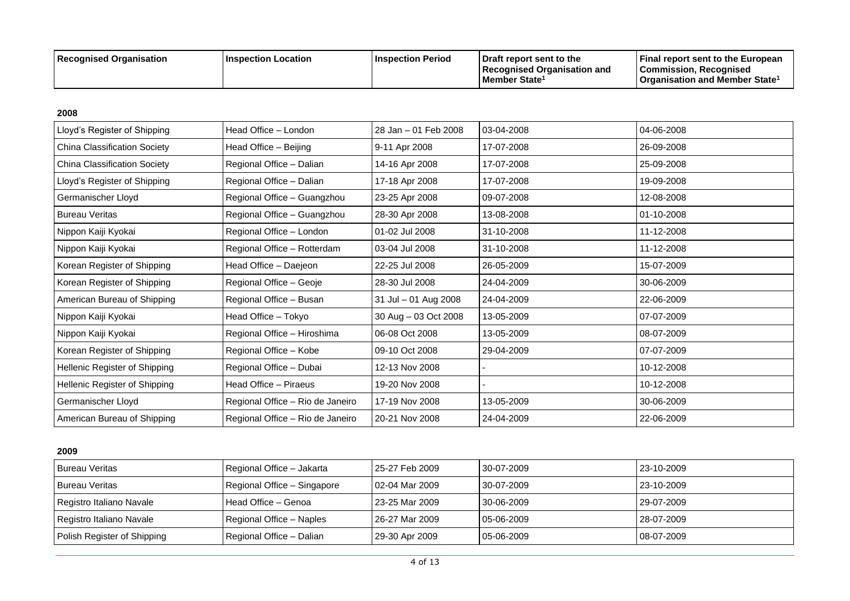| Recognised Organisation | ⊺Inspection Location | <b>Inspection Period</b> | <b>I</b> Draft report sent to the<br>Recognised Organisation and | <b>Final report sent to the European</b><br> Commission, Recognised |
|-------------------------|----------------------|--------------------------|------------------------------------------------------------------|---------------------------------------------------------------------|
|                         |                      |                          | l Member State <sup>1</sup>                                      | <b>Organisation and Member State</b> <sup>1</sup>                   |

| Lloyd's Register of Shipping        | Head Office - London             | 28 Jan - 01 Feb 2008 | 03-04-2008 | 04-06-2008 |
|-------------------------------------|----------------------------------|----------------------|------------|------------|
| <b>China Classification Society</b> | Head Office - Beijing            | 9-11 Apr 2008        | 17-07-2008 | 26-09-2008 |
| <b>China Classification Society</b> | Regional Office - Dalian         | 14-16 Apr 2008       | 17-07-2008 | 25-09-2008 |
| Lloyd's Register of Shipping        | Regional Office - Dalian         | 17-18 Apr 2008       | 17-07-2008 | 19-09-2008 |
| Germanischer Lloyd                  | Regional Office - Guangzhou      | 23-25 Apr 2008       | 09-07-2008 | 12-08-2008 |
| <b>Bureau Veritas</b>               | Regional Office - Guangzhou      | 28-30 Apr 2008       | 13-08-2008 | 01-10-2008 |
| Nippon Kaiji Kyokai                 | Regional Office - London         | 01-02 Jul 2008       | 31-10-2008 | 11-12-2008 |
| Nippon Kaiji Kyokai                 | Regional Office - Rotterdam      | 03-04 Jul 2008       | 31-10-2008 | 11-12-2008 |
| Korean Register of Shipping         | Head Office - Daejeon            | 22-25 Jul 2008       | 26-05-2009 | 15-07-2009 |
| Korean Register of Shipping         | Regional Office - Geoje          | 28-30 Jul 2008       | 24-04-2009 | 30-06-2009 |
| American Bureau of Shipping         | Regional Office - Busan          | 31 Jul - 01 Aug 2008 | 24-04-2009 | 22-06-2009 |
| Nippon Kaiji Kyokai                 | Head Office - Tokyo              | 30 Aug - 03 Oct 2008 | 13-05-2009 | 07-07-2009 |
| Nippon Kaiji Kyokai                 | Regional Office - Hiroshima      | 06-08 Oct 2008       | 13-05-2009 | 08-07-2009 |
| Korean Register of Shipping         | Regional Office - Kobe           | 09-10 Oct 2008       | 29-04-2009 | 07-07-2009 |
| Hellenic Register of Shipping       | Regional Office - Dubai          | 12-13 Nov 2008       |            | 10-12-2008 |
| Hellenic Register of Shipping       | Head Office - Piraeus            | 19-20 Nov 2008       |            | 10-12-2008 |
| Germanischer Lloyd                  | Regional Office - Rio de Janeiro | 17-19 Nov 2008       | 13-05-2009 | 30-06-2009 |
| American Bureau of Shipping         | Regional Office - Rio de Janeiro | 20-21 Nov 2008       | 24-04-2009 | 22-06-2009 |

| <b>Bureau Veritas</b>       | Regional Office - Jakarta   | l 25-27 Feb 2009 | 30-07-2009   | 23-10-2009 |
|-----------------------------|-----------------------------|------------------|--------------|------------|
| <b>Bureau Veritas</b>       | Regional Office - Singapore | 02-04 Mar 2009   | 30-07-2009   | 23-10-2009 |
| Registro Italiano Navale    | l Head Office – Genoa       | 23-25 Mar 2009   | 30-06-2009   | 29-07-2009 |
| Registro Italiano Navale    | Regional Office - Naples    | 26-27 Mar 2009   | $05-06-2009$ | 28-07-2009 |
| Polish Register of Shipping | Regional Office – Dalian    | 29-30 Apr 2009   | $05-06-2009$ | 08-07-2009 |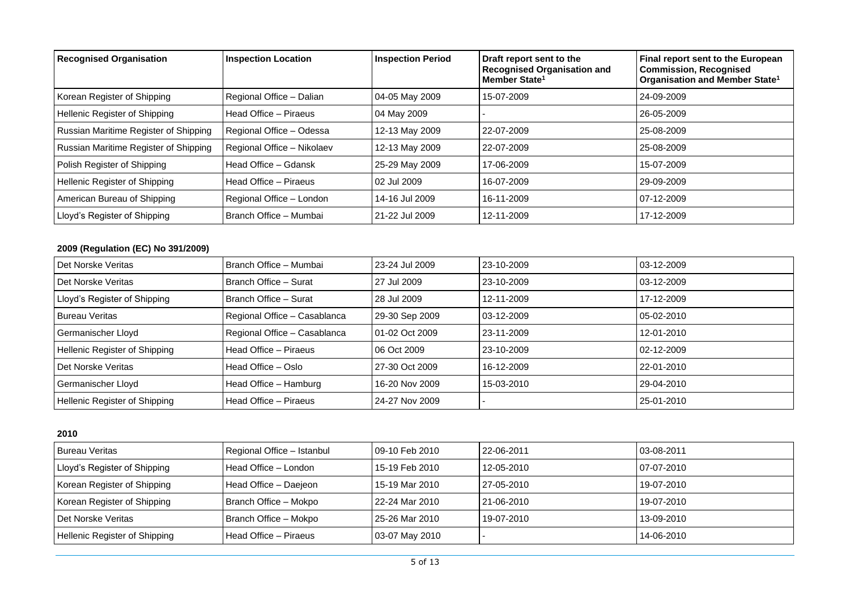| <b>Recognised Organisation</b>        | <b>Inspection Location</b> | <b>Inspection Period</b> | Draft report sent to the<br><b>Recognised Organisation and</b><br>Member State <sup>1</sup> | Final report sent to the European<br><b>Commission, Recognised</b><br>Organisation and Member State <sup>1</sup> |
|---------------------------------------|----------------------------|--------------------------|---------------------------------------------------------------------------------------------|------------------------------------------------------------------------------------------------------------------|
| Korean Register of Shipping           | Regional Office - Dalian   | 04-05 May 2009           | 15-07-2009                                                                                  | 24-09-2009                                                                                                       |
| Hellenic Register of Shipping         | Head Office - Piraeus      | 04 May 2009              |                                                                                             | 26-05-2009                                                                                                       |
| Russian Maritime Register of Shipping | Regional Office - Odessa   | 12-13 May 2009           | 22-07-2009                                                                                  | 25-08-2009                                                                                                       |
| Russian Maritime Register of Shipping | Regional Office - Nikolaev | 12-13 May 2009           | 22-07-2009                                                                                  | 25-08-2009                                                                                                       |
| Polish Register of Shipping           | Head Office - Gdansk       | 25-29 May 2009           | 17-06-2009                                                                                  | 15-07-2009                                                                                                       |
| Hellenic Register of Shipping         | Head Office - Piraeus      | 02 Jul 2009              | 16-07-2009                                                                                  | 29-09-2009                                                                                                       |
| American Bureau of Shipping           | Regional Office - London   | 14-16 Jul 2009           | 16-11-2009                                                                                  | 07-12-2009                                                                                                       |
| Lloyd's Register of Shipping          | Branch Office - Mumbai     | 21-22 Jul 2009           | 12-11-2009                                                                                  | 17-12-2009                                                                                                       |

# **2009 (Regulation (EC) No 391/2009)**

| Det Norske Veritas            | Branch Office - Mumbai       | 23-24 Jul 2009 | 23-10-2009 | 03-12-2009 |
|-------------------------------|------------------------------|----------------|------------|------------|
| Det Norske Veritas            | Branch Office - Surat        | 27 Jul 2009    | 23-10-2009 | 03-12-2009 |
| Lloyd's Register of Shipping  | Branch Office - Surat        | 28 Jul 2009    | 12-11-2009 | 17-12-2009 |
| <b>Bureau Veritas</b>         | Regional Office - Casablanca | 29-30 Sep 2009 | 03-12-2009 | 05-02-2010 |
| Germanischer Lloyd            | Regional Office - Casablanca | 01-02 Oct 2009 | 23-11-2009 | 12-01-2010 |
| Hellenic Register of Shipping | Head Office - Piraeus        | 06 Oct 2009    | 23-10-2009 | 02-12-2009 |
| Det Norske Veritas            | Head Office - Oslo           | 27-30 Oct 2009 | 16-12-2009 | 22-01-2010 |
| Germanischer Lloyd            | Head Office - Hamburg        | 16-20 Nov 2009 | 15-03-2010 | 29-04-2010 |
| Hellenic Register of Shipping | Head Office - Piraeus        | 24-27 Nov 2009 |            | 25-01-2010 |

| l Bureau Veritas              | Regional Office - Istanbul | 09-10 Feb 2010 | 22-06-2011 | 03-08-2011 |
|-------------------------------|----------------------------|----------------|------------|------------|
| Lloyd's Register of Shipping  | Head Office - London       | 15-19 Feb 2010 | 12-05-2010 | 07-07-2010 |
| Korean Register of Shipping   | Head Office - Daejeon      | 15-19 Mar 2010 | 27-05-2010 | 19-07-2010 |
| Korean Register of Shipping   | Branch Office - Mokpo      | 22-24 Mar 2010 | 21-06-2010 | 19-07-2010 |
| Det Norske Veritas            | Branch Office - Mokpo      | 25-26 Mar 2010 | 19-07-2010 | 13-09-2010 |
| Hellenic Register of Shipping | Head Office – Piraeus      | 03-07 May 2010 |            | 14-06-2010 |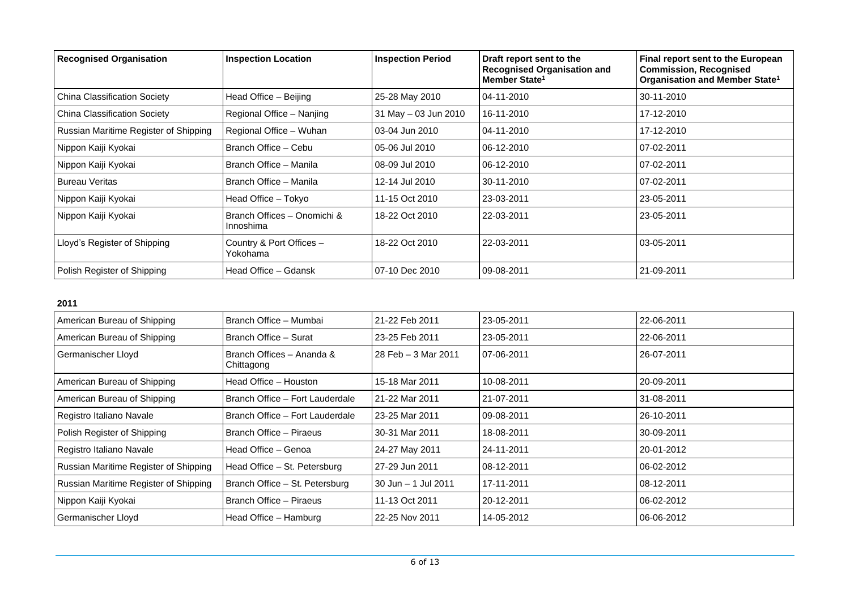| <b>Recognised Organisation</b>        | <b>Inspection Location</b>               | <b>Inspection Period</b> | Draft report sent to the<br><b>Recognised Organisation and</b><br>Member State <sup>1</sup> | Final report sent to the European<br><b>Commission, Recognised</b><br>Organisation and Member State <sup>1</sup> |
|---------------------------------------|------------------------------------------|--------------------------|---------------------------------------------------------------------------------------------|------------------------------------------------------------------------------------------------------------------|
| China Classification Society          | Head Office - Beijing                    | 25-28 May 2010           | 04-11-2010                                                                                  | 30-11-2010                                                                                                       |
| China Classification Society          | Regional Office - Nanjing                | 31 May - 03 Jun 2010     | 16-11-2010                                                                                  | 17-12-2010                                                                                                       |
| Russian Maritime Register of Shipping | Regional Office - Wuhan                  | 03-04 Jun 2010           | 04-11-2010                                                                                  | 17-12-2010                                                                                                       |
| Nippon Kaiji Kyokai                   | Branch Office - Cebu                     | 05-06 Jul 2010           | 06-12-2010                                                                                  | 07-02-2011                                                                                                       |
| Nippon Kaiji Kyokai                   | Branch Office - Manila                   | 08-09 Jul 2010           | 06-12-2010                                                                                  | 07-02-2011                                                                                                       |
| Bureau Veritas                        | Branch Office - Manila                   | 12-14 Jul 2010           | 30-11-2010                                                                                  | 07-02-2011                                                                                                       |
| Nippon Kaiji Kyokai                   | Head Office - Tokyo                      | 11-15 Oct 2010           | 23-03-2011                                                                                  | 23-05-2011                                                                                                       |
| Nippon Kaiji Kyokai                   | Branch Offices - Onomichi &<br>Innoshima | 18-22 Oct 2010           | 22-03-2011                                                                                  | 23-05-2011                                                                                                       |
| Lloyd's Register of Shipping          | Country & Port Offices -<br>Yokohama     | 18-22 Oct 2010           | 22-03-2011                                                                                  | 03-05-2011                                                                                                       |
| Polish Register of Shipping           | Head Office – Gdansk                     | 07-10 Dec 2010           | 09-08-2011                                                                                  | 21-09-2011                                                                                                       |

| American Bureau of Shipping           | Branch Office - Mumbai                  | 21-22 Feb 2011      | 23-05-2011 | 22-06-2011 |
|---------------------------------------|-----------------------------------------|---------------------|------------|------------|
| American Bureau of Shipping           | Branch Office - Surat                   | 23-25 Feb 2011      | 23-05-2011 | 22-06-2011 |
| Germanischer Lloyd                    | Branch Offices - Ananda &<br>Chittagong | 28 Feb - 3 Mar 2011 | 07-06-2011 | 26-07-2011 |
| American Bureau of Shipping           | Head Office - Houston                   | 15-18 Mar 2011      | 10-08-2011 | 20-09-2011 |
| American Bureau of Shipping           | Branch Office - Fort Lauderdale         | 21-22 Mar 2011      | 21-07-2011 | 31-08-2011 |
| Registro Italiano Navale              | Branch Office - Fort Lauderdale         | 23-25 Mar 2011      | 09-08-2011 | 26-10-2011 |
| Polish Register of Shipping           | Branch Office - Piraeus                 | 30-31 Mar 2011      | 18-08-2011 | 30-09-2011 |
| Registro Italiano Navale              | Head Office - Genoa                     | 24-27 May 2011      | 24-11-2011 | 20-01-2012 |
| Russian Maritime Register of Shipping | Head Office - St. Petersburg            | 27-29 Jun 2011      | 08-12-2011 | 06-02-2012 |
| Russian Maritime Register of Shipping | Branch Office - St. Petersburg          | 30 Jun - 1 Jul 2011 | 17-11-2011 | 08-12-2011 |
| Nippon Kaiji Kyokai                   | Branch Office - Piraeus                 | 11-13 Oct 2011      | 20-12-2011 | 06-02-2012 |
| Germanischer Lloyd                    | Head Office - Hamburg                   | 22-25 Nov 2011      | 14-05-2012 | 06-06-2012 |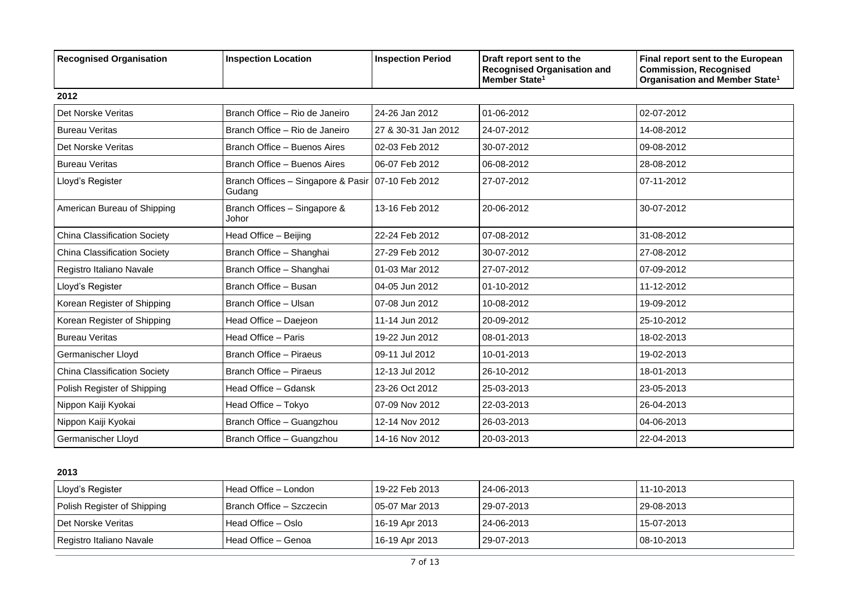| <b>Recognised Organisation</b>      | <b>Inspection Location</b>                   | <b>Inspection Period</b> | Draft report sent to the<br><b>Recognised Organisation and</b><br>Member State <sup>1</sup> | Final report sent to the European<br><b>Commission, Recognised</b><br>Organisation and Member State <sup>1</sup> |  |  |  |
|-------------------------------------|----------------------------------------------|--------------------------|---------------------------------------------------------------------------------------------|------------------------------------------------------------------------------------------------------------------|--|--|--|
| 2012                                |                                              |                          |                                                                                             |                                                                                                                  |  |  |  |
| Det Norske Veritas                  | Branch Office - Rio de Janeiro               | 24-26 Jan 2012           | 01-06-2012                                                                                  | 02-07-2012                                                                                                       |  |  |  |
| <b>Bureau Veritas</b>               | Branch Office - Rio de Janeiro               | 27 & 30-31 Jan 2012      | 24-07-2012                                                                                  | 14-08-2012                                                                                                       |  |  |  |
| Det Norske Veritas                  | Branch Office - Buenos Aires                 | 02-03 Feb 2012           | 30-07-2012                                                                                  | 09-08-2012                                                                                                       |  |  |  |
| <b>Bureau Veritas</b>               | Branch Office - Buenos Aires                 | 06-07 Feb 2012           | 06-08-2012                                                                                  | 28-08-2012                                                                                                       |  |  |  |
| Lloyd's Register                    | Branch Offices - Singapore & Pasir<br>Gudang | 07-10 Feb 2012           | 27-07-2012                                                                                  | 07-11-2012                                                                                                       |  |  |  |
| American Bureau of Shipping         | Branch Offices - Singapore &<br>Johor        | 13-16 Feb 2012           | 20-06-2012                                                                                  | 30-07-2012                                                                                                       |  |  |  |
| <b>China Classification Society</b> | Head Office - Beijing                        | 22-24 Feb 2012           | 07-08-2012                                                                                  | 31-08-2012                                                                                                       |  |  |  |
| <b>China Classification Society</b> | Branch Office - Shanghai                     | 27-29 Feb 2012           | 30-07-2012                                                                                  | 27-08-2012                                                                                                       |  |  |  |
| Registro Italiano Navale            | Branch Office - Shanghai                     | 01-03 Mar 2012           | 27-07-2012                                                                                  | 07-09-2012                                                                                                       |  |  |  |
| Lloyd's Register                    | Branch Office - Busan                        | 04-05 Jun 2012           | 01-10-2012                                                                                  | 11-12-2012                                                                                                       |  |  |  |
| Korean Register of Shipping         | Branch Office - Ulsan                        | 07-08 Jun 2012           | 10-08-2012                                                                                  | 19-09-2012                                                                                                       |  |  |  |
| Korean Register of Shipping         | Head Office - Daejeon                        | 11-14 Jun 2012           | 20-09-2012                                                                                  | 25-10-2012                                                                                                       |  |  |  |
| <b>Bureau Veritas</b>               | Head Office - Paris                          | 19-22 Jun 2012           | 08-01-2013                                                                                  | 18-02-2013                                                                                                       |  |  |  |
| Germanischer Lloyd                  | <b>Branch Office - Piraeus</b>               | 09-11 Jul 2012           | 10-01-2013                                                                                  | 19-02-2013                                                                                                       |  |  |  |
| <b>China Classification Society</b> | <b>Branch Office - Piraeus</b>               | 12-13 Jul 2012           | 26-10-2012                                                                                  | 18-01-2013                                                                                                       |  |  |  |
| Polish Register of Shipping         | Head Office - Gdansk                         | 23-26 Oct 2012           | 25-03-2013                                                                                  | 23-05-2013                                                                                                       |  |  |  |
| Nippon Kaiji Kyokai                 | Head Office - Tokyo                          | 07-09 Nov 2012           | 22-03-2013                                                                                  | 26-04-2013                                                                                                       |  |  |  |
| Nippon Kaiji Kyokai                 | Branch Office - Guangzhou                    | 12-14 Nov 2012           | 26-03-2013                                                                                  | 04-06-2013                                                                                                       |  |  |  |
| Germanischer Lloyd                  | Branch Office - Guangzhou                    | 14-16 Nov 2012           | 20-03-2013                                                                                  | 22-04-2013                                                                                                       |  |  |  |

| Lloyd's Register            | Head Office – London     | l 19-22 Feb 2013 | 24-06-2013 | 11-10-2013        |
|-----------------------------|--------------------------|------------------|------------|-------------------|
| Polish Register of Shipping | Branch Office - Szczecin | l 05-07 Mar 2013 | 29-07-2013 | 29-08-2013        |
| I Det Norske Veritas        | l Head Office – Oslo     | 16-19 Apr 2013   | 24-06-2013 | 15-07-2013        |
| Registro Italiano Navale    | l Head Office – Genoa    | 16-19 Apr 2013   | 29-07-2013 | $108 - 10 - 2013$ |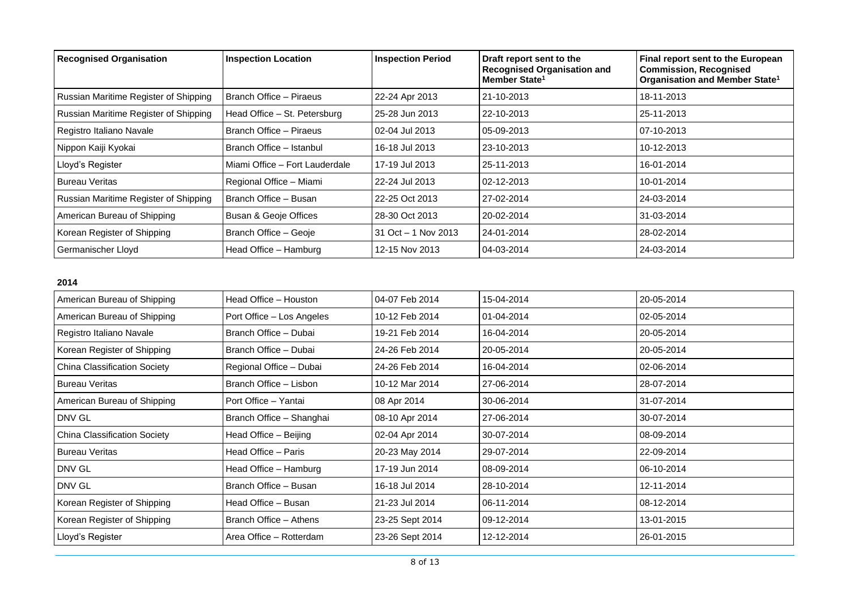| <b>Recognised Organisation</b>        | <b>Inspection Location</b>       | <b>Inspection Period</b> | Draft report sent to the<br><b>Recognised Organisation and</b><br>Member State <sup>1</sup> | Final report sent to the European<br><b>Commission, Recognised</b><br>Organisation and Member State <sup>1</sup> |
|---------------------------------------|----------------------------------|--------------------------|---------------------------------------------------------------------------------------------|------------------------------------------------------------------------------------------------------------------|
| Russian Maritime Register of Shipping | Branch Office - Piraeus          | 22-24 Apr 2013           | 21-10-2013                                                                                  | 18-11-2013                                                                                                       |
| Russian Maritime Register of Shipping | Head Office - St. Petersburg     | 25-28 Jun 2013           | 22-10-2013                                                                                  | 25-11-2013                                                                                                       |
| Registro Italiano Navale              | Branch Office - Piraeus          | 02-04 Jul 2013           | 05-09-2013                                                                                  | 07-10-2013                                                                                                       |
| Nippon Kaiji Kyokai                   | Branch Office - Istanbul         | 16-18 Jul 2013           | 23-10-2013                                                                                  | 10-12-2013                                                                                                       |
| Lloyd's Register                      | Miami Office - Fort Lauderdale   | 17-19 Jul 2013           | 25-11-2013                                                                                  | 16-01-2014                                                                                                       |
| <b>Bureau Veritas</b>                 | Regional Office - Miami          | 22-24 Jul 2013           | 02-12-2013                                                                                  | 10-01-2014                                                                                                       |
| Russian Maritime Register of Shipping | Branch Office - Busan            | 22-25 Oct 2013           | 27-02-2014                                                                                  | 24-03-2014                                                                                                       |
| American Bureau of Shipping           | <b>Busan &amp; Geoje Offices</b> | 28-30 Oct 2013           | 20-02-2014                                                                                  | 31-03-2014                                                                                                       |
| Korean Register of Shipping           | Branch Office - Geoje            | $31$ Oct $-1$ Nov 2013   | 24-01-2014                                                                                  | 28-02-2014                                                                                                       |
| Germanischer Lloyd                    | Head Office - Hamburg            | 12-15 Nov 2013           | 04-03-2014                                                                                  | 24-03-2014                                                                                                       |

| Head Office - Houston     | 04-07 Feb 2014  | 15-04-2014 | 20-05-2014 |
|---------------------------|-----------------|------------|------------|
| Port Office - Los Angeles | 10-12 Feb 2014  | 01-04-2014 | 02-05-2014 |
| Branch Office - Dubai     | 19-21 Feb 2014  | 16-04-2014 | 20-05-2014 |
| Branch Office - Dubai     | 24-26 Feb 2014  | 20-05-2014 | 20-05-2014 |
| Regional Office - Dubai   | 24-26 Feb 2014  | 16-04-2014 | 02-06-2014 |
| Branch Office - Lisbon    | 10-12 Mar 2014  | 27-06-2014 | 28-07-2014 |
| Port Office - Yantai      | 08 Apr 2014     | 30-06-2014 | 31-07-2014 |
| Branch Office - Shanghai  | 08-10 Apr 2014  | 27-06-2014 | 30-07-2014 |
| Head Office - Beijing     | 02-04 Apr 2014  | 30-07-2014 | 08-09-2014 |
| Head Office - Paris       | 20-23 May 2014  | 29-07-2014 | 22-09-2014 |
| Head Office - Hamburg     | 17-19 Jun 2014  | 08-09-2014 | 06-10-2014 |
| Branch Office - Busan     | 16-18 Jul 2014  | 28-10-2014 | 12-11-2014 |
| Head Office - Busan       | 21-23 Jul 2014  | 06-11-2014 | 08-12-2014 |
| Branch Office - Athens    | 23-25 Sept 2014 | 09-12-2014 | 13-01-2015 |
| Area Office - Rotterdam   | 23-26 Sept 2014 | 12-12-2014 | 26-01-2015 |
|                           |                 |            |            |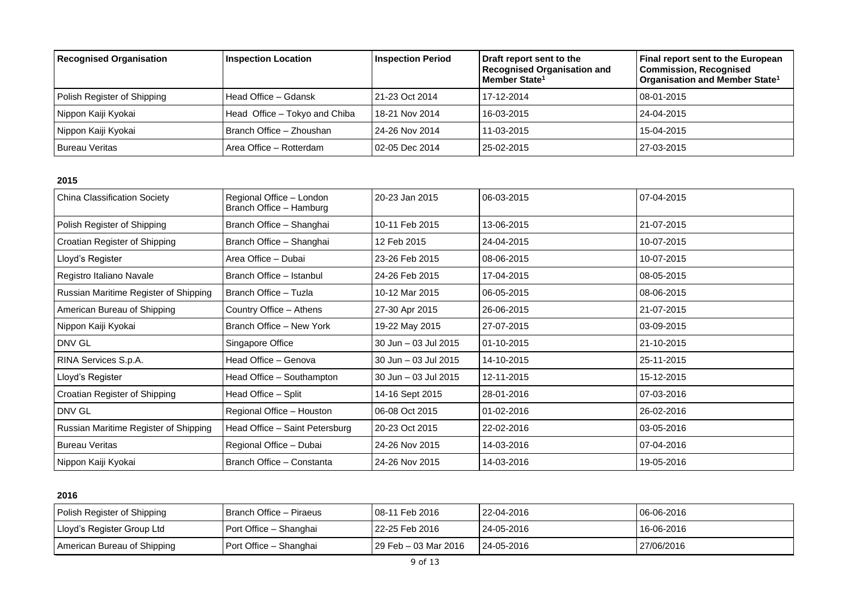| <b>Recognised Organisation</b> | <b>Inspection Location</b>    | <b>Inspection Period</b> | Draft report sent to the<br><b>Recognised Organisation and</b><br>Member State <sup>1</sup> | Final report sent to the European<br><b>Commission, Recognised</b><br>Organisation and Member State <sup>1</sup> |
|--------------------------------|-------------------------------|--------------------------|---------------------------------------------------------------------------------------------|------------------------------------------------------------------------------------------------------------------|
| Polish Register of Shipping    | Head Office - Gdansk          | 21-23 Oct 2014           | 17-12-2014                                                                                  | 08-01-2015                                                                                                       |
| Nippon Kaiji Kyokai            | Head Office - Tokyo and Chiba | 18-21 Nov 2014           | 16-03-2015                                                                                  | 24-04-2015                                                                                                       |
| Nippon Kaiji Kyokai            | Branch Office - Zhoushan      | 24-26 Nov 2014           | 11-03-2015                                                                                  | 15-04-2015                                                                                                       |
| <b>Bureau Veritas</b>          | Area Office - Rotterdam       | 02-05 Dec 2014           | 25-02-2015                                                                                  | 27-03-2015                                                                                                       |

| <b>China Classification Society</b>   | Regional Office - London<br>Branch Office - Hamburg | 20-23 Jan 2015       | 06-03-2015 | 07-04-2015 |
|---------------------------------------|-----------------------------------------------------|----------------------|------------|------------|
| Polish Register of Shipping           | Branch Office - Shanghai                            | 10-11 Feb 2015       | 13-06-2015 | 21-07-2015 |
| Croatian Register of Shipping         | Branch Office - Shanghai                            | 12 Feb 2015          | 24-04-2015 | 10-07-2015 |
| Lloyd's Register                      | Area Office - Dubai                                 | 23-26 Feb 2015       | 08-06-2015 | 10-07-2015 |
| Registro Italiano Navale              | Branch Office - Istanbul                            | 24-26 Feb 2015       | 17-04-2015 | 08-05-2015 |
| Russian Maritime Register of Shipping | Branch Office - Tuzla                               | 10-12 Mar 2015       | 06-05-2015 | 08-06-2015 |
| American Bureau of Shipping           | Country Office - Athens                             | 27-30 Apr 2015       | 26-06-2015 | 21-07-2015 |
| Nippon Kaiji Kyokai                   | Branch Office - New York                            | 19-22 May 2015       | 27-07-2015 | 03-09-2015 |
| DNV GL                                | Singapore Office                                    | 30 Jun - 03 Jul 2015 | 01-10-2015 | 21-10-2015 |
| RINA Services S.p.A.                  | Head Office - Genova                                | 30 Jun - 03 Jul 2015 | 14-10-2015 | 25-11-2015 |
| Lloyd's Register                      | Head Office - Southampton                           | 30 Jun - 03 Jul 2015 | 12-11-2015 | 15-12-2015 |
| Croatian Register of Shipping         | Head Office - Split                                 | 14-16 Sept 2015      | 28-01-2016 | 07-03-2016 |
| DNV GL                                | Regional Office - Houston                           | 06-08 Oct 2015       | 01-02-2016 | 26-02-2016 |
| Russian Maritime Register of Shipping | Head Office - Saint Petersburg                      | 20-23 Oct 2015       | 22-02-2016 | 03-05-2016 |
| <b>Bureau Veritas</b>                 | Regional Office - Dubai                             | 24-26 Nov 2015       | 14-03-2016 | 07-04-2016 |
| Nippon Kaiji Kyokai                   | Branch Office - Constanta                           | 24-26 Nov 2015       | 14-03-2016 | 19-05-2016 |

| Polish Register of Shipping | l Branch Office – Piraeus | 08-11 Feb 2016         | 22-04-2016 | 06-06-2016 |
|-----------------------------|---------------------------|------------------------|------------|------------|
| Lloyd's Register Group Ltd  | Port Office – Shanghai    | 22-25 Feb 2016         | 24-05-2016 | 16-06-2016 |
| American Bureau of Shipping | Port Office - Shanghai    | l 29 Feb – 03 Mar 2016 | 24-05-2016 | 27/06/2016 |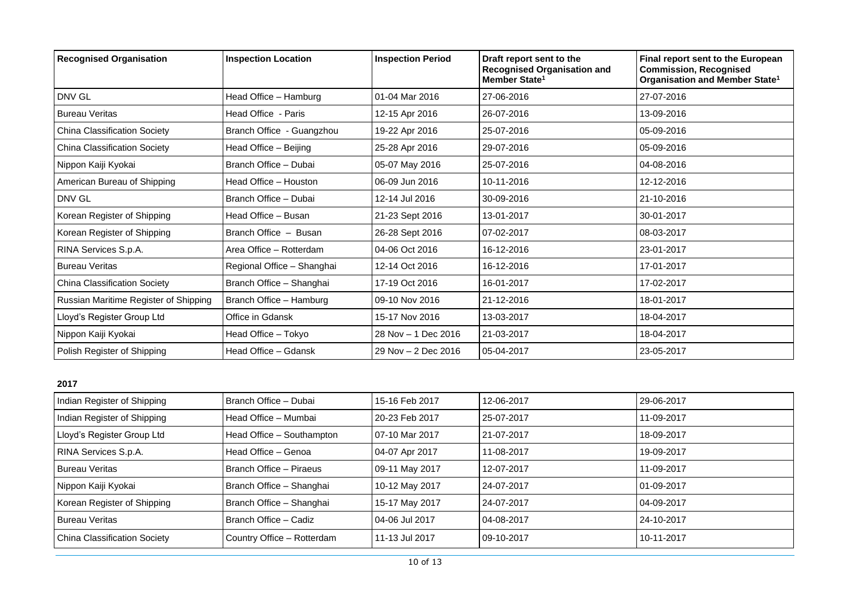| <b>Recognised Organisation</b>        | <b>Inspection Location</b> | <b>Inspection Period</b> | Draft report sent to the<br><b>Recognised Organisation and</b><br>Member State <sup>1</sup> | Final report sent to the European<br><b>Commission, Recognised</b><br>Organisation and Member State <sup>1</sup> |
|---------------------------------------|----------------------------|--------------------------|---------------------------------------------------------------------------------------------|------------------------------------------------------------------------------------------------------------------|
| DNV GL                                | Head Office - Hamburg      | 01-04 Mar 2016           | 27-06-2016                                                                                  | 27-07-2016                                                                                                       |
| <b>Bureau Veritas</b>                 | Head Office - Paris        | 12-15 Apr 2016           | 26-07-2016                                                                                  | 13-09-2016                                                                                                       |
| <b>China Classification Society</b>   | Branch Office - Guangzhou  | 19-22 Apr 2016           | 25-07-2016                                                                                  | 05-09-2016                                                                                                       |
| <b>China Classification Society</b>   | Head Office - Beijing      | 25-28 Apr 2016           | 29-07-2016                                                                                  | 05-09-2016                                                                                                       |
| Nippon Kaiji Kyokai                   | Branch Office - Dubai      | 05-07 May 2016           | 25-07-2016                                                                                  | 04-08-2016                                                                                                       |
| American Bureau of Shipping           | Head Office - Houston      | 06-09 Jun 2016           | 10-11-2016                                                                                  | 12-12-2016                                                                                                       |
| DNV GL                                | Branch Office - Dubai      | 12-14 Jul 2016           | 30-09-2016                                                                                  | 21-10-2016                                                                                                       |
| Korean Register of Shipping           | Head Office - Busan        | 21-23 Sept 2016          | 13-01-2017                                                                                  | 30-01-2017                                                                                                       |
| Korean Register of Shipping           | Branch Office - Busan      | 26-28 Sept 2016          | 07-02-2017                                                                                  | 08-03-2017                                                                                                       |
| RINA Services S.p.A.                  | Area Office - Rotterdam    | 04-06 Oct 2016           | 16-12-2016                                                                                  | 23-01-2017                                                                                                       |
| <b>Bureau Veritas</b>                 | Regional Office - Shanghai | 12-14 Oct 2016           | 16-12-2016                                                                                  | 17-01-2017                                                                                                       |
| China Classification Society          | Branch Office - Shanghai   | 17-19 Oct 2016           | 16-01-2017                                                                                  | 17-02-2017                                                                                                       |
| Russian Maritime Register of Shipping | Branch Office - Hamburg    | 09-10 Nov 2016           | 21-12-2016                                                                                  | 18-01-2017                                                                                                       |
| Lloyd's Register Group Ltd            | Office in Gdansk           | 15-17 Nov 2016           | 13-03-2017                                                                                  | 18-04-2017                                                                                                       |
| Nippon Kaiji Kyokai                   | Head Office - Tokyo        | 28 Nov - 1 Dec 2016      | 21-03-2017                                                                                  | 18-04-2017                                                                                                       |
| Polish Register of Shipping           | Head Office – Gdansk       | 29 Nov - 2 Dec 2016      | 05-04-2017                                                                                  | 23-05-2017                                                                                                       |

| Indian Register of Shipping         | Branch Office - Dubai      | 15-16 Feb 2017 | 12-06-2017 | 29-06-2017 |
|-------------------------------------|----------------------------|----------------|------------|------------|
| Indian Register of Shipping         | Head Office - Mumbai       | 20-23 Feb 2017 | 25-07-2017 | 11-09-2017 |
| Lloyd's Register Group Ltd          | Head Office - Southampton  | 07-10 Mar 2017 | 21-07-2017 | 18-09-2017 |
| RINA Services S.p.A.                | Head Office - Genoa        | 04-07 Apr 2017 | 11-08-2017 | 19-09-2017 |
| <b>Bureau Veritas</b>               | Branch Office - Piraeus    | 09-11 May 2017 | 12-07-2017 | 11-09-2017 |
| Nippon Kaiji Kyokai                 | Branch Office - Shanghai   | 10-12 May 2017 | 24-07-2017 | 01-09-2017 |
| Korean Register of Shipping         | Branch Office - Shanghai   | 15-17 May 2017 | 24-07-2017 | 04-09-2017 |
| <b>Bureau Veritas</b>               | Branch Office - Cadiz      | 04-06 Jul 2017 | 04-08-2017 | 24-10-2017 |
| <b>China Classification Society</b> | Country Office - Rotterdam | 11-13 Jul 2017 | 09-10-2017 | 10-11-2017 |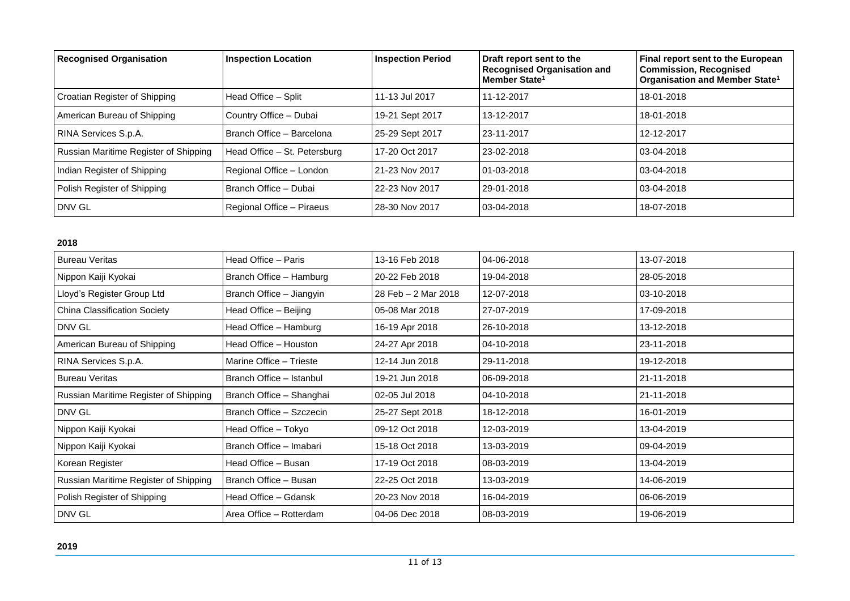| <b>Recognised Organisation</b>        | <b>Inspection Location</b>   | <b>Inspection Period</b> | Draft report sent to the<br><b>Recognised Organisation and</b><br>Member State <sup>1</sup> | Final report sent to the European<br><b>Commission, Recognised</b><br>Organisation and Member State <sup>1</sup> |
|---------------------------------------|------------------------------|--------------------------|---------------------------------------------------------------------------------------------|------------------------------------------------------------------------------------------------------------------|
| Croatian Register of Shipping         | Head Office - Split          | 11-13 Jul 2017           | 11-12-2017                                                                                  | 18-01-2018                                                                                                       |
| American Bureau of Shipping           | Country Office - Dubai       | 19-21 Sept 2017          | 13-12-2017                                                                                  | 18-01-2018                                                                                                       |
| RINA Services S.p.A.                  | Branch Office - Barcelona    | 25-29 Sept 2017          | 23-11-2017                                                                                  | 12-12-2017                                                                                                       |
| Russian Maritime Register of Shipping | Head Office - St. Petersburg | 17-20 Oct 2017           | 23-02-2018                                                                                  | $03-04-2018$                                                                                                     |
| Indian Register of Shipping           | Regional Office - London     | 21-23 Nov 2017           | $01-03-2018$                                                                                | $03-04-2018$                                                                                                     |
| Polish Register of Shipping           | Branch Office - Dubai        | 22-23 Nov 2017           | 29-01-2018                                                                                  | $03-04-2018$                                                                                                     |
| <b>DNV GL</b>                         | Regional Office - Piraeus    | 28-30 Nov 2017           | 03-04-2018                                                                                  | 18-07-2018                                                                                                       |

| <b>Bureau Veritas</b>                 | Head Office - Paris      | 13-16 Feb 2018      | 04-06-2018 | 13-07-2018 |
|---------------------------------------|--------------------------|---------------------|------------|------------|
| Nippon Kaiji Kyokai                   | Branch Office - Hamburg  | 20-22 Feb 2018      | 19-04-2018 | 28-05-2018 |
| Lloyd's Register Group Ltd            | Branch Office - Jiangyin | 28 Feb - 2 Mar 2018 | 12-07-2018 | 03-10-2018 |
| <b>China Classification Society</b>   | Head Office - Beijing    | 05-08 Mar 2018      | 27-07-2019 | 17-09-2018 |
| DNV GL                                | Head Office - Hamburg    | 16-19 Apr 2018      | 26-10-2018 | 13-12-2018 |
| American Bureau of Shipping           | Head Office - Houston    | 24-27 Apr 2018      | 04-10-2018 | 23-11-2018 |
| RINA Services S.p.A.                  | Marine Office - Trieste  | 12-14 Jun 2018      | 29-11-2018 | 19-12-2018 |
| <b>Bureau Veritas</b>                 | Branch Office - Istanbul | 19-21 Jun 2018      | 06-09-2018 | 21-11-2018 |
| Russian Maritime Register of Shipping | Branch Office - Shanghai | 02-05 Jul 2018      | 04-10-2018 | 21-11-2018 |
| DNV GL                                | Branch Office - Szczecin | 25-27 Sept 2018     | 18-12-2018 | 16-01-2019 |
| Nippon Kaiji Kyokai                   | Head Office - Tokyo      | 09-12 Oct 2018      | 12-03-2019 | 13-04-2019 |
| Nippon Kaiji Kyokai                   | Branch Office - Imabari  | 15-18 Oct 2018      | 13-03-2019 | 09-04-2019 |
| Korean Register                       | Head Office - Busan      | 17-19 Oct 2018      | 08-03-2019 | 13-04-2019 |
| Russian Maritime Register of Shipping | Branch Office - Busan    | 22-25 Oct 2018      | 13-03-2019 | 14-06-2019 |
| Polish Register of Shipping           | Head Office - Gdansk     | 20-23 Nov 2018      | 16-04-2019 | 06-06-2019 |
| DNV GL                                | Area Office - Rotterdam  | 04-06 Dec 2018      | 08-03-2019 | 19-06-2019 |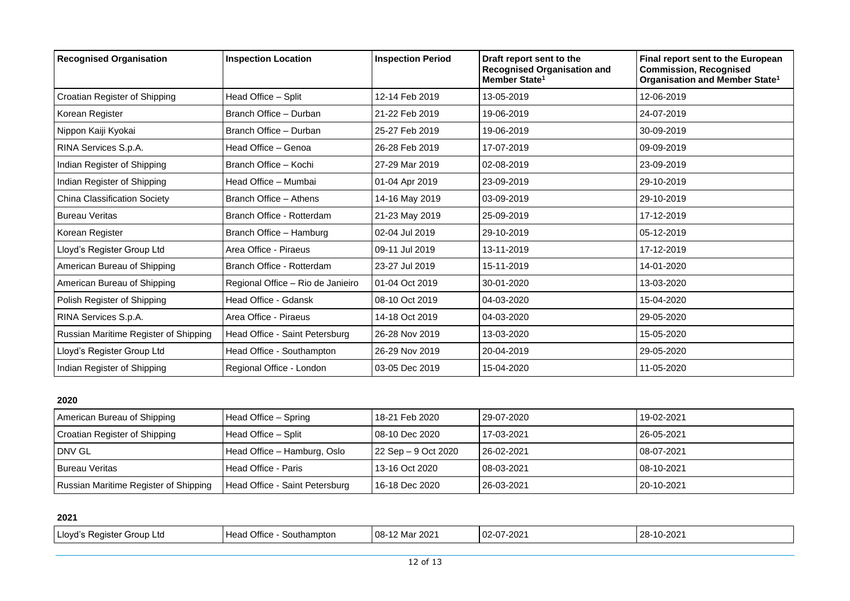| <b>Recognised Organisation</b>        | <b>Inspection Location</b>        | <b>Inspection Period</b> | Draft report sent to the<br><b>Recognised Organisation and</b><br>Member State <sup>1</sup> | Final report sent to the European<br><b>Commission, Recognised</b><br>Organisation and Member State <sup>1</sup> |
|---------------------------------------|-----------------------------------|--------------------------|---------------------------------------------------------------------------------------------|------------------------------------------------------------------------------------------------------------------|
| Croatian Register of Shipping         | Head Office - Split               | 12-14 Feb 2019           | 13-05-2019                                                                                  | 12-06-2019                                                                                                       |
| Korean Register                       | Branch Office - Durban            | 21-22 Feb 2019           | 19-06-2019                                                                                  | 24-07-2019                                                                                                       |
| Nippon Kaiji Kyokai                   | Branch Office - Durban            | 25-27 Feb 2019           | 19-06-2019                                                                                  | 30-09-2019                                                                                                       |
| RINA Services S.p.A.                  | Head Office - Genoa               | 26-28 Feb 2019           | 17-07-2019                                                                                  | 09-09-2019                                                                                                       |
| Indian Register of Shipping           | Branch Office - Kochi             | 27-29 Mar 2019           | 02-08-2019                                                                                  | 23-09-2019                                                                                                       |
| Indian Register of Shipping           | Head Office - Mumbai              | 01-04 Apr 2019           | 23-09-2019                                                                                  | 29-10-2019                                                                                                       |
| <b>China Classification Society</b>   | Branch Office - Athens            | 14-16 May 2019           | 03-09-2019                                                                                  | 29-10-2019                                                                                                       |
| <b>Bureau Veritas</b>                 | Branch Office - Rotterdam         | 21-23 May 2019           | 25-09-2019                                                                                  | 17-12-2019                                                                                                       |
| Korean Register                       | Branch Office - Hamburg           | 02-04 Jul 2019           | 29-10-2019                                                                                  | 05-12-2019                                                                                                       |
| Lloyd's Register Group Ltd            | Area Office - Piraeus             | 09-11 Jul 2019           | 13-11-2019                                                                                  | 17-12-2019                                                                                                       |
| American Bureau of Shipping           | Branch Office - Rotterdam         | 23-27 Jul 2019           | 15-11-2019                                                                                  | 14-01-2020                                                                                                       |
| American Bureau of Shipping           | Regional Office - Rio de Janieiro | 01-04 Oct 2019           | 30-01-2020                                                                                  | 13-03-2020                                                                                                       |
| Polish Register of Shipping           | Head Office - Gdansk              | 08-10 Oct 2019           | 04-03-2020                                                                                  | 15-04-2020                                                                                                       |
| RINA Services S.p.A.                  | Area Office - Piraeus             | 14-18 Oct 2019           | 04-03-2020                                                                                  | 29-05-2020                                                                                                       |
| Russian Maritime Register of Shipping | Head Office - Saint Petersburg    | 26-28 Nov 2019           | 13-03-2020                                                                                  | 15-05-2020                                                                                                       |
| Lloyd's Register Group Ltd            | Head Office - Southampton         | 26-29 Nov 2019           | 20-04-2019                                                                                  | 29-05-2020                                                                                                       |
| Indian Register of Shipping           | Regional Office - London          | 03-05 Dec 2019           | 15-04-2020                                                                                  | 11-05-2020                                                                                                       |

| American Bureau of Shipping           | Head Office – Spring           | 18-21 Feb 2020      | 29-07-2020 | 19-02-2021 |
|---------------------------------------|--------------------------------|---------------------|------------|------------|
| Croatian Register of Shipping         | Head Office – Split            | 08-10 Dec 2020      | 17-03-2021 | 26-05-2021 |
| l DNV GL                              | Head Office – Hamburg, Oslo    | 22 Sep – 9 Oct 2020 | 26-02-2021 | 08-07-2021 |
| <b>Bureau Veritas</b>                 | Head Office - Paris            | 13-16 Oct 2020      | 08-03-2021 | 08-10-2021 |
| Russian Maritime Register of Shipping | Head Office - Saint Petersburg | 16-18 Dec 2020      | 26-03-2021 | 20-10-2021 |

| Office<br>l Llovd'<br>⊂ Group Ltu<br>⊰outhampton<br>Head<br>uister<br>◡ | 2021<br>07.202<br>$08-$<br>$02-07$<br>$\cdots$<br>-202<br>$L \sim 10$ | 10-202 <sup>.</sup><br>-28- |
|-------------------------------------------------------------------------|-----------------------------------------------------------------------|-----------------------------|
|-------------------------------------------------------------------------|-----------------------------------------------------------------------|-----------------------------|